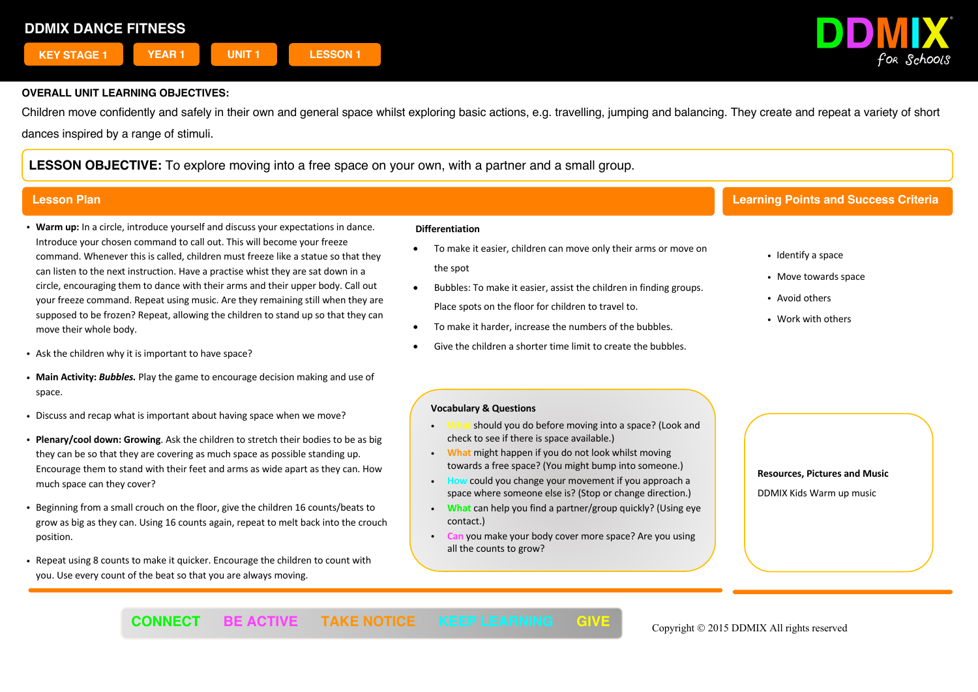

Children move confidently and safely in their own and general space whilst exploring basic actions, e.g. travelling, jumping and balancing. They create and repeat a variety of short dances inspired by a range of stimuli.

**LESSON OBJECTIVE:** To explore moving into a free space on your own, with a partner and a small group.

- ! **Warm up:** In a circle, introduce yourself and discuss your expectations in dance. Introduce your chosen command to call out. This will become your freeze command. Whenever this is called, children must freeze like a statue so that they can listen to the next instruction. Have a practise whist they are sat down in a circle, encouraging them to dance with their arms and their upper body. Call out your freeze command. Repeat using music. Are they remaining still when they are supposed to be frozen? Repeat, allowing the children to stand up so that they can move their whole body.
- . Ask the children why it is important to have space?
- ! **Main Activity:** *Bubbles.* Play the game to encourage decision making and use of space.
- . Discuss and recap what is important about having space when we move?
- ! **Plenary/cool down: Growing**. Ask the children to stretch their bodies to be as big they can be so that they are covering as much space as possible standing up. Encourage them to stand with their feet and arms as wide apart as they can. How much space can they cover?
- ! Beginning from a small crouch on the floor, give the children 16 counts/beats to grow as big as they can. Using 16 counts again, repeat to melt back into the crouch position.
- ! Repeat using 8 counts to make it quicker. Encourage the children to count with you. Use every count of the beat so that you are always moving.

### **Differentiation**

- To make it easier, children can move only their arms or move on the spot
- Bubbles: To make it easier, assist the children in finding groups. Place spots on the floor for children to travel to.
- To make it harder, increase the numbers of the bubbles.
- Give the children a shorter time limit to create the bubbles.

# **Lesson Plan Learning Points and Success Criteria**

- Identify a space
- Move towards space
- Avoid others
- . Work with others

### **Vocabulary & Questions**

- should you do before moving into a space? (Look and check to see if there is space available.)
- ! **What** might happen if you do not look whilst moving towards a free space? (You might bump into someone.)
- could you change your movement if you approach a space where someone else is? (Stop or change direction.)
- ! **What** can help you find a partner/group quickly? (Using eye contact.)
- **Can** you make your body cover more space? Are you using all the counts to grow?

 $\overline{a}$ 

**Resources, Pictures and Music**

DDMIX Kids Warm up music

**CONNECT** BE ACTIVE TAKE NOTICE KEEP LEARNING GIVE Copyright © 2015 DDMIX All rights reserved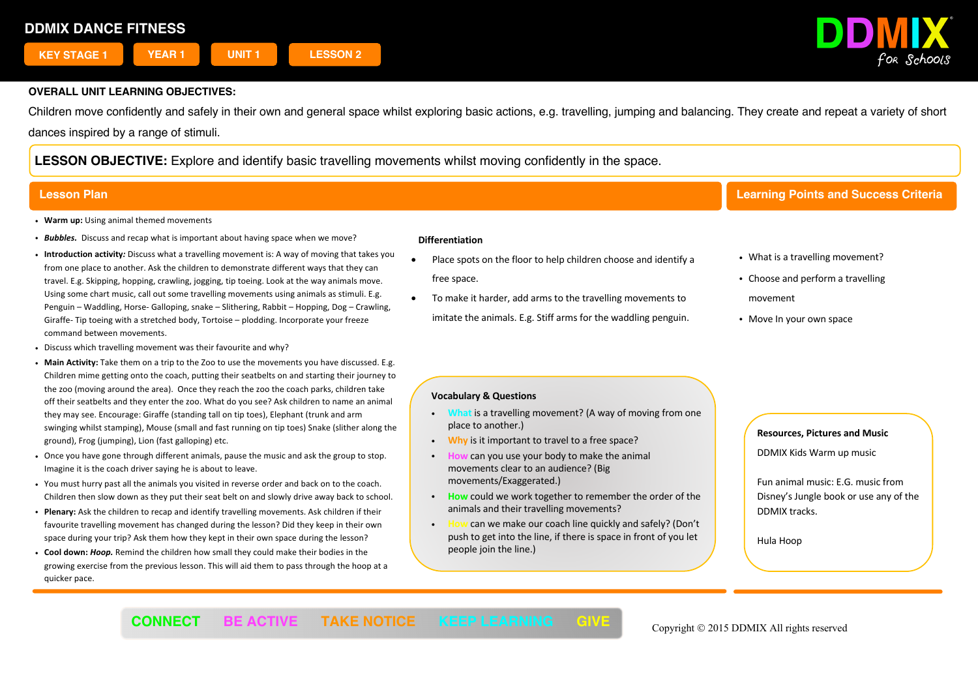

Children move confidently and safely in their own and general space whilst exploring basic actions, e.g. travelling, jumping and balancing. They create and repeat a variety of short dances inspired by a range of stimuli.

**LESSON OBJECTIVE:** Explore and identify basic travelling movements whilst moving confidently in the space.

- ! **Warm up:** Using animal themed movements
- ! *Bubbles.* Discuss and recap what is important about having space when we move?
- ! **Introduction activity***:* Discuss what a travelling movement is: A way of moving that takes you from one place to another. Ask the children to demonstrate different ways that they can travel. E.g. Skipping, hopping, crawling, jogging, tip toeing. Look at the way animals move. Using some chart music, call out some travelling movements using animals as stimuli. E.g. Penguin – Waddling, Horse- Galloping, snake – Slithering, Rabbit – Hopping, Dog – Crawling, Giraffe- Tip toeing with a stretched body, Tortoise – plodding. Incorporate your freeze command between movements.
- ! Discuss which travelling movement was their favourite and why?
- ! **Main Activity:** Take them on a trip to the Zoo to use the movements you have discussed. E.g. Children mime getting onto the coach, putting their seatbelts on and starting their journey to the zoo (moving around the area). Once they reach the zoo the coach parks, children take off their seatbelts and they enter the zoo. What do you see? Ask children to name an animal they may see. Encourage: Giraffe (standing tall on tip toes), Elephant (trunk and arm swinging whilst stamping), Mouse (small and fast running on tip toes) Snake (slither along the ground), Frog (jumping), Lion (fast galloping) etc.
- ! Once you have gone through different animals, pause the music and ask the group to stop. Imagine it is the coach driver saying he is about to leave.
- ! You must hurry past all the animals you visited in reverse order and back on to the coach. Children then slow down as they put their seat belt on and slowly drive away back to school.
- ! **Plenary:** Ask the children to recap and identify travelling movements. Ask children if their favourite travelling movement has changed during the lesson? Did they keep in their own space during your trip? Ask them how they kept in their own space during the lesson?
- ! **Cool down:** *Hoop.* Remind the children how small they could make their bodies in the growing exercise from the previous lesson. This will aid them to pass through the hoop at a quicker pace.

#### **Differentiation**

- Place spots on the floor to help children choose and identify a free space.
- To make it harder, add arms to the travelling movements to imitate the animals. E.g. Stiff arms for the waddling penguin.

# **Lesson Plan Learning Points and Success Criteria**

- What is a travelling movement?
- Choose and perform a travelling
- movement
- Move In your own space

### **Vocabulary & Questions**

- ! **What** is a travelling movement? (A way of moving from one place to another.)
- ! **Why** is it important to travel to a free space?
- ! **How** can you use your body to make the animal movements clear to an audience? (Big movements/Exaggerated.)
- ! **How** could we work together to remember the order of the animals and their travelling movements?
- can we make our coach line quickly and safely? (Don't push to get into the line, if there is space in front of you let people join the line.)

### **Resources, Pictures and Music**

DDMIX Kids Warm up music

Fun animal music: E.G. music from Disney's Jungle book or use any of the DDMIX tracks.

Hula Hoop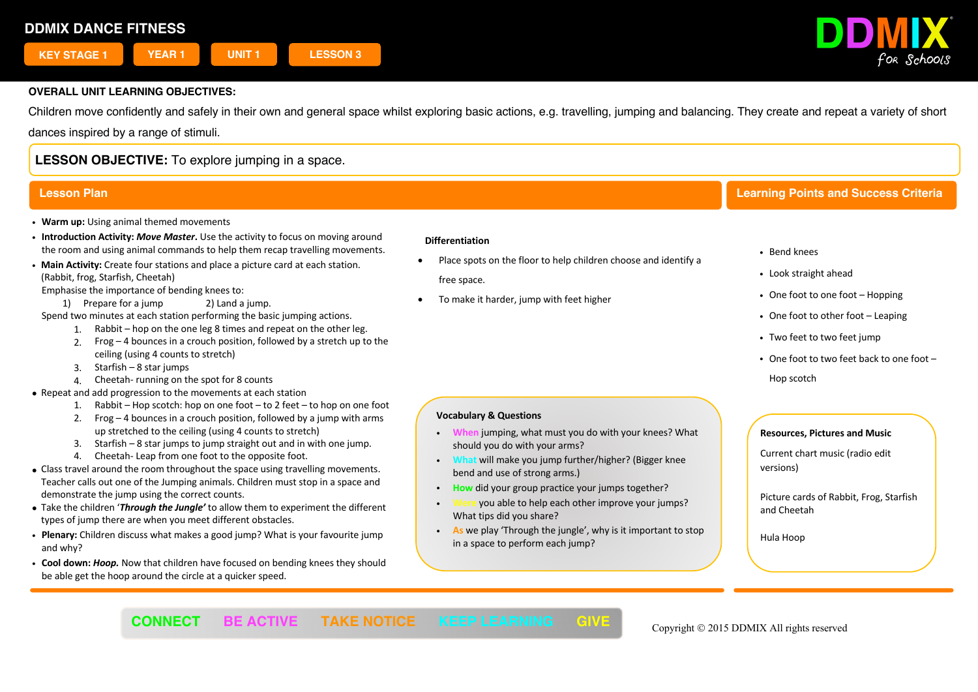

Children move confidently and safely in their own and general space whilst exploring basic actions, e.g. travelling, jumping and balancing. They create and repeat a variety of short dances inspired by a range of stimuli.

# **LESSON OBJECTIVE:** To explore jumping in a space.

- ! **Warm up:** Using animal themed movements
- ! **Introduction Activity:** *Move Master***.** Use the activity to focus on moving around the room and using animal commands to help them recap travelling movements.
- ! **Main Activity:** Create four stations and place a picture card at each station. (Rabbit, frog, Starfish, Cheetah)

Emphasise the importance of bending knees to:

1) Prepare for a jump 2) Land a jump.

Spend two minutes at each station performing the basic jumping actions.

- 1. Rabbit hop on the one leg 8 times and repeat on the other leg.
	- 2. Frog 4 bounces in a crouch position, followed by a stretch up to the ceiling (using 4 counts to stretch)
	- 3. Starfish 8 star jumps
	- 4. Cheetah- running on the spot for 8 counts
- Repeat and add progression to the movements at each station
	- 1. Rabbit Hop scotch: hop on one foot to 2 feet to hop on one foot
	- 2. Frog  $-4$  bounces in a crouch position, followed by a jump with arms up stretched to the ceiling (using 4 counts to stretch)
	- 3. Starfish 8 star jumps to jump straight out and in with one jump.
	- 4. Cheetah- Leap from one foot to the opposite foot.
- Class travel around the room throughout the space using travelling movements. Teacher calls out one of the Jumping animals. Children must stop in a space and demonstrate the jump using the correct counts.
- Take the children '*Through the Jungle'* to allow them to experiment the different types of jump there are when you meet different obstacles.
- ! **Plenary:** Children discuss what makes a good jump? What is your favourite jump and why?
- ! **Cool down:** *Hoop.* Now that children have focused on bending knees they should be able get the hoop around the circle at a quicker speed.

#### **Differentiation**

- Place spots on the floor to help children choose and identify a free space.
- To make it harder, jump with feet higher

# **Lesson Plan Learning Points and Success Criteria**

- ! Bend knees
- ! Look straight ahead
- One foot to one foot Hopping
- One foot to other foot Leaping
- Two feet to two feet jump
- One foot to two feet back to one foot -Hop scotch

## **Vocabulary & Questions**

- ! **When** jumping, what must you do with your knees? What should you do with your arms?
- ! **What** will make you jump further/higher? (Bigger knee bend and use of strong arms.)
- ! **How** did your group practice your jumps together?
- ! **Were** you able to help each other improve your jumps? What tips did you share?
- ! **As** we play 'Through the jungle', why is it important to stop in a space to perform each jump?

 $\overline{a}$ 

### **Resources, Pictures and Music**

Current chart music (radio edit  versions)

Picture cards of Rabbit, Frog, Starfish and Cheetah

Hula Hoop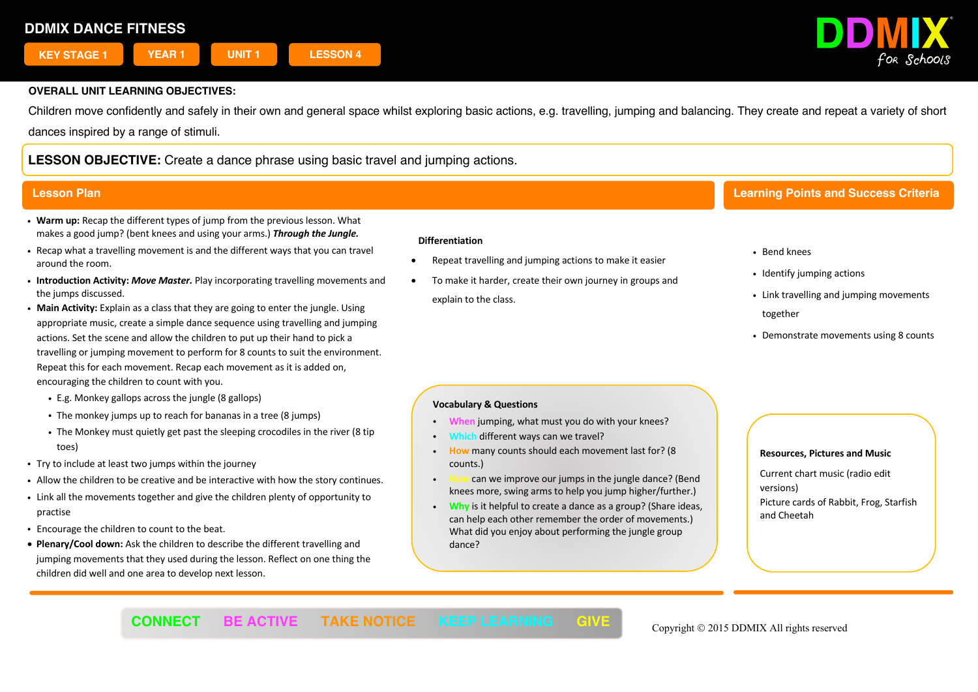

Children move confidently and safely in their own and general space whilst exploring basic actions, e.g. travelling, jumping and balancing. They create and repeat a variety of short dances inspired by a range of stimuli.

**LESSON OBJECTIVE:** Create a dance phrase using basic travel and jumping actions.

- ! **Warm up:** Recap the different types of jump from the previous lesson. What makes a good jump? (bent knees and using your arms.) *Through the Jungle.*
- ! Recap what a travelling movement is and the different ways that you can travel around the room.
- ! **Introduction Activity:** *Move Master.* Play incorporating travelling movements and the jumps discussed.
- ! **Main Activity:** Explain as a class that they are going to enter the jungle. Using appropriate music, create a simple dance sequence using travelling and jumping actions. Set the scene and allow the children to put up their hand to pick a travelling or jumping movement to perform for 8 counts to suit the environment. Repeat this for each movement. Recap each movement as it is added on, encouraging the children to count with you.
	- ! E.g. Monkey gallops across the jungle (8 gallops)
	- . The monkey jumps up to reach for bananas in a tree (8 jumps)
	- . The Monkey must quietly get past the sleeping crocodiles in the river (8 tip toes)
- . Try to include at least two jumps within the journey
- ! Allow the children to be creative and be interactive with how the story continues.
- ! Link all the movements together and give the children plenty of opportunity to practise
- ! Encourage the children to count to the beat.
- **Plenary/Cool down:** Ask the children to describe the different travelling and jumping movements that they used during the lesson. Reflect on one thing the children did well and one area to develop next lesson.

#### **Differentiation**

- Repeat travelling and jumping actions to make it easier
- To make it harder, create their own journey in groups and explain to the class.

# **Lesson Plan Learning Points and Success Criteria**

- ! Bend knees
- Identify jumping actions
- . Link travelling and jumping movements together
- . Demonstrate movements using 8 counts

### **Vocabulary & Questions**

- ! **When** jumping, what must you do with your knees?
- different ways can we travel?
- ! **How** many counts should each movement last for? (8 counts.)
- ! **How** can we improve our jumps in the jungle dance? (Bend knees more, swing arms to help you jump higher/further.)
- ! **Why** is it helpful to create a dance as a group? (Share ideas, can help each other remember the order of movements.) What did you enjoy about performing the jungle group dance?

#### **Resources, Pictures and Music**

Current chart music (radio edit versions) Picture cards of Rabbit, Frog, Starfish and Cheetah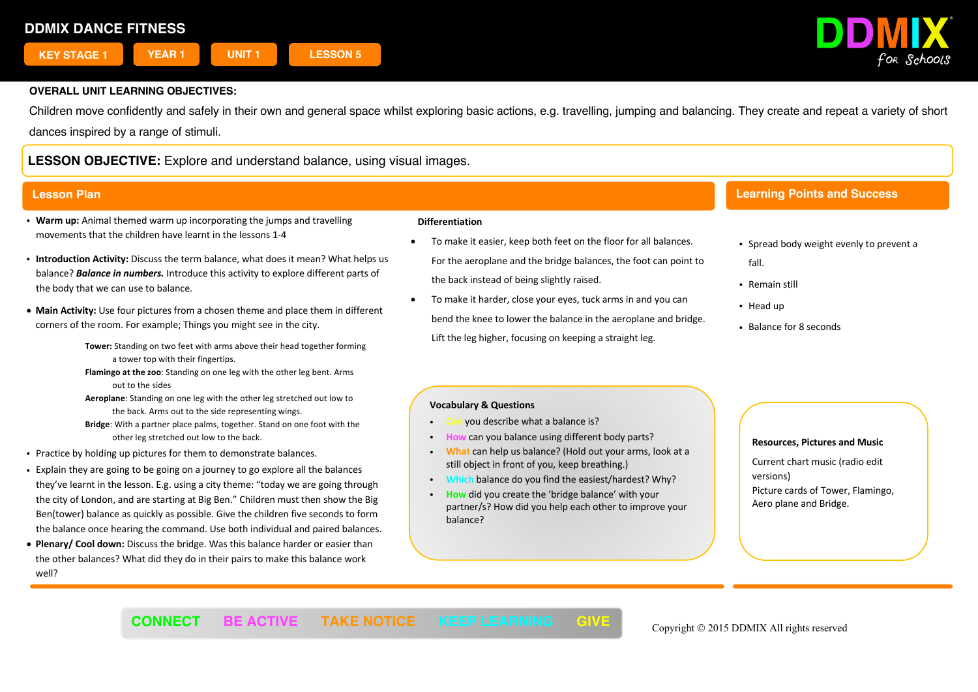

Children move confidently and safely in their own and general space whilst exploring basic actions, e.g. travelling, jumping and balancing. They create and repeat a variety of short dances inspired by a range of stimuli.

# **LESSON OBJECTIVE:** Explore and understand balance, using visual images.

# **Lesson Plan**

- ! **Warm up:** Animal themed warm up incorporating the jumps and travelling movements that the children have learnt in the lessons 1-4
- ! **Introduction Activity:** Discuss the term balance, what does it mean? What helps us balance? *Balance in numbers.* Introduce this activity to explore different parts of the body that we can use to balance.
- **Main Activity:** Use four pictures from a chosen theme and place them in different corners of the room. For example; Things you might see in the city.
	- **Tower:** Standing on two feet with arms above their head together forming a tower top with their fingertips.
	- **Flamingo at the zoo**: Standing on one leg with the other leg bent. Arms out to the sides
	- **Aeroplane**: Standing on one leg with the other leg stretched out low to the back. Arms out to the side representing wings.
	- **Bridge**: With a partner place palms, together. Stand on one foot with the other leg stretched out low to the back.
- . Practice by holding up pictures for them to demonstrate balances.
- ! Explain they are going to be going on a journey to go explore all the balances they've learnt in the lesson. E.g. using a city theme: "today we are going through the city of London, and are starting at Big Ben." Children must then show the Big Ben(tower) balance as quickly as possible. Give the children five seconds to form the balance once hearing the command. Use both individual and paired balances.
- **Plenary/ Cool down:** Discuss the bridge. Was this balance harder or easier than the other balances? What did they do in their pairs to make this balance work well?

### **Differentiation**

- To make it easier, keep both feet on the floor for all balances. For the aeroplane and the bridge balances, the foot can point to the back instead of being slightly raised.
- To make it harder, close your eyes, tuck arms in and you can bend the knee to lower the balance in the aeroplane and bridge. Lift the leg higher, focusing on keeping a straight leg.

# **Learning Points and Success**

- Spread body weight evenly to prevent a fall.
- Remain still
- Head up

**Criteria**

! Balance for 8 seconds

## **Vocabulary & Questions**

- you describe what a balance is?
- can you balance using different body parts?
- ! **What** can help us balance? (Hold out your arms, look at a still object in front of you, keep breathing.)
- balance do you find the easiest/hardest? Why?
- ! **How** did you create the 'bridge balance' with your partner/s? How did you help each other to improve your balance?

 $\overline{1}$ 

### **Resources, Pictures and Music**

Current chart music (radio edit versions) Picture cards of Tower, Flamingo, Aero plane and Bridge.